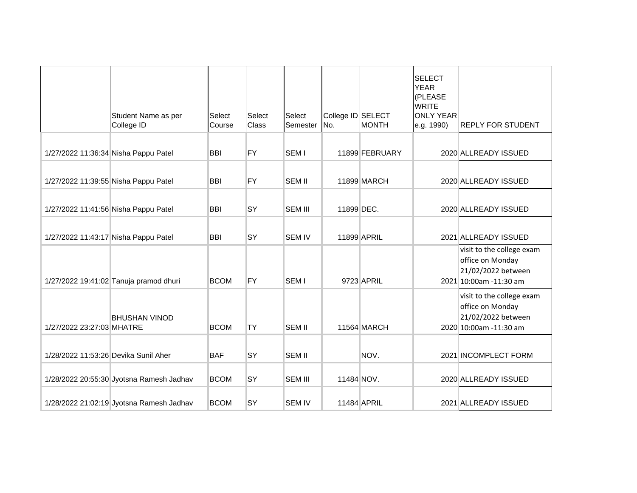|                                      | Student Name as per<br>College ID        | Select<br>Course | Select<br>Class | Select<br>Semester | College ID SELECT<br>No. | <b>MONTH</b>   | <b>SELECT</b><br><b>YEAR</b><br>(PLEASE<br><b>WRITE</b><br><b>ONLY YEAR</b><br>e.g. 1990) | <b>REPLY FOR STUDENT</b>                                                                      |
|--------------------------------------|------------------------------------------|------------------|-----------------|--------------------|--------------------------|----------------|-------------------------------------------------------------------------------------------|-----------------------------------------------------------------------------------------------|
| 1/27/2022 11:36:34 Nisha Pappu Patel |                                          | <b>BBI</b>       | <b>FY</b>       | <b>SEMI</b>        |                          | 11899 FEBRUARY |                                                                                           | 2020 ALLREADY ISSUED                                                                          |
| 1/27/2022 11:39:55 Nisha Pappu Patel |                                          | <b>BBI</b>       | <b>FY</b>       | <b>SEM II</b>      |                          | 11899 MARCH    |                                                                                           | 2020 ALLREADY ISSUED                                                                          |
| 1/27/2022 11:41:56 Nisha Pappu Patel |                                          | <b>BBI</b>       | <b>SY</b>       | <b>SEM III</b>     | 11899 DEC.               |                |                                                                                           | 2020 ALLREADY ISSUED                                                                          |
| 1/27/2022 11:43:17 Nisha Pappu Patel |                                          | <b>BBI</b>       | <b>SY</b>       | <b>SEM IV</b>      |                          | 11899 APRIL    |                                                                                           | 2021 ALLREADY ISSUED                                                                          |
|                                      | 1/27/2022 19:41:02 Tanuja pramod dhuri   | <b>BCOM</b>      | <b>FY</b>       | SEM <sub>I</sub>   |                          | 9723 APRIL     |                                                                                           | visit to the college exam<br>office on Monday<br>21/02/2022 between<br>2021 10:00am -11:30 am |
| 1/27/2022 23:27:03 MHATRE            | <b>BHUSHAN VINOD</b>                     | <b>BCOM</b>      | <b>TY</b>       | <b>SEM II</b>      |                          | 11564 MARCH    |                                                                                           | visit to the college exam<br>office on Monday<br>21/02/2022 between<br>2020 10:00am -11:30 am |
| 1/28/2022 11:53:26 Devika Sunil Aher |                                          | <b>BAF</b>       | <b>SY</b>       | <b>SEM II</b>      |                          | NOV.           |                                                                                           | 2021 INCOMPLECT FORM                                                                          |
|                                      | 1/28/2022 20:55:30 Jyotsna Ramesh Jadhav | <b>BCOM</b>      | <b>SY</b>       | <b>SEM III</b>     | 11484 NOV.               |                |                                                                                           | 2020 ALLREADY ISSUED                                                                          |
|                                      | 1/28/2022 21:02:19 Jyotsna Ramesh Jadhav | <b>BCOM</b>      | <b>SY</b>       | <b>SEM IV</b>      |                          | 11484 APRIL    |                                                                                           | 2021 ALLREADY ISSUED                                                                          |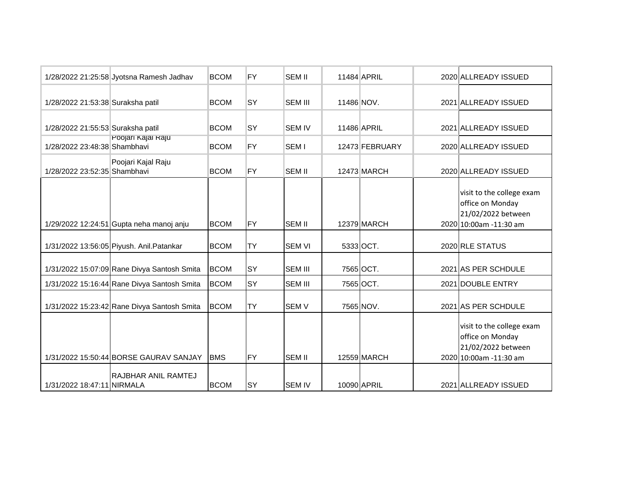|                                   | 1/28/2022 21:25:58 Jyotsna Ramesh Jadhav    | <b>BCOM</b> | FY         | <b>SEM II</b>    |            | 11484 APRIL    | 2020 ALLREADY ISSUED                                                                          |
|-----------------------------------|---------------------------------------------|-------------|------------|------------------|------------|----------------|-----------------------------------------------------------------------------------------------|
| 1/28/2022 21:53:38 Suraksha patil |                                             | <b>BCOM</b> | <b>SY</b>  | <b>SEM III</b>   | 11486 NOV. |                | 2021 ALLREADY ISSUED                                                                          |
| 1/28/2022 21:55:53 Suraksha patil |                                             | <b>BCOM</b> | <b>SY</b>  | <b>SEM IV</b>    |            | 11486 APRIL    | 2021 ALLREADY ISSUED                                                                          |
| 1/28/2022 23:48:38 Shambhavi      | Poojari Kajal Kaju                          | <b>BCOM</b> | <b>FY</b>  | SEM <sub>I</sub> |            | 12473 FEBRUARY | 2020 ALLREADY ISSUED                                                                          |
| 1/28/2022 23:52:35 Shambhavi      | Poojari Kajal Raju                          | <b>BCOM</b> | FY         | <b>SEM II</b>    |            | 12473 MARCH    | 2020 ALLREADY ISSUED                                                                          |
|                                   | 1/29/2022 12:24:51 Gupta neha manoj anju    | <b>BCOM</b> | <b>IFY</b> | <b>SEM II</b>    |            | 12379 MARCH    | visit to the college exam<br>office on Monday<br>21/02/2022 between<br>2020 10:00am -11:30 am |
|                                   | 1/31/2022 13:56:05 Piyush. Anil. Patankar   | <b>BCOM</b> | <b>TY</b>  | <b>SEM VI</b>    |            | 5333 OCT.      | 2020 RLE STATUS                                                                               |
|                                   | 1/31/2022 15:07:09 Rane Divya Santosh Smita | <b>BCOM</b> | <b>SY</b>  | <b>SEM III</b>   |            | 7565 OCT.      | 2021 AS PER SCHDULE                                                                           |
|                                   | 1/31/2022 15:16:44 Rane Divya Santosh Smita | <b>BCOM</b> | <b>SY</b>  | <b>SEM III</b>   |            | 7565 OCT.      | 2021 DOUBLE ENTRY                                                                             |
|                                   | 1/31/2022 15:23:42 Rane Divya Santosh Smita | <b>BCOM</b> | <b>TY</b>  | <b>SEMV</b>      |            | 7565 NOV.      | 2021 AS PER SCHDULE                                                                           |
|                                   | 1/31/2022 15:50:44 BORSE GAURAV SANJAY      | <b>BMS</b>  | <b>FY</b>  | <b>SEM II</b>    |            | 12559 MARCH    | visit to the college exam<br>office on Monday<br>21/02/2022 between<br>2020 10:00am -11:30 am |
| 1/31/2022 18:47:11 NIRMALA        | <b>RAJBHAR ANIL RAMTEJ</b>                  | <b>BCOM</b> | <b>SY</b>  | <b>SEM IV</b>    |            | 10090 APRIL    | 2021 ALLREADY ISSUED                                                                          |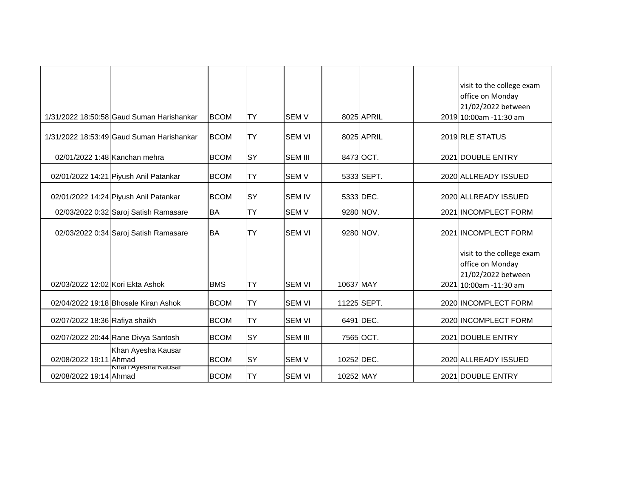|                                  |                                           |             |           |                |             |            | visit to the college exam                                                                     |
|----------------------------------|-------------------------------------------|-------------|-----------|----------------|-------------|------------|-----------------------------------------------------------------------------------------------|
|                                  |                                           |             |           |                |             |            | office on Monday                                                                              |
|                                  |                                           |             |           |                |             |            | 21/02/2022 between                                                                            |
|                                  | 1/31/2022 18:50:58 Gaud Suman Harishankar | <b>BCOM</b> | <b>TY</b> | <b>SEMV</b>    |             | 8025 APRIL | 2019 10:00am -11:30 am                                                                        |
|                                  | 1/31/2022 18:53:49 Gaud Suman Harishankar | <b>BCOM</b> | <b>TY</b> | <b>SEM VI</b>  |             | 8025 APRIL | 2019 RLE STATUS                                                                               |
| 02/01/2022 1:48 Kanchan mehra    |                                           | <b>BCOM</b> | <b>SY</b> | <b>SEM III</b> | 8473 OCT.   |            | 2021 DOUBLE ENTRY                                                                             |
|                                  | 02/01/2022 14:21 Piyush Anil Patankar     | <b>BCOM</b> | <b>TY</b> | <b>SEM V</b>   |             | 5333 SEPT. | 2020 ALLREADY ISSUED                                                                          |
|                                  | 02/01/2022 14:24 Piyush Anil Patankar     | <b>BCOM</b> | <b>SY</b> | <b>SEM IV</b>  | 5333 DEC.   |            | 2020 ALLREADY ISSUED                                                                          |
|                                  | 02/03/2022 0:32 Saroj Satish Ramasare     | <b>BA</b>   | <b>TY</b> | <b>SEMV</b>    |             | 9280 NOV.  | 2021 INCOMPLECT FORM                                                                          |
|                                  | 02/03/2022 0:34 Saroj Satish Ramasare     | <b>BA</b>   | <b>TY</b> | <b>SEM VI</b>  |             | 9280 NOV.  | 2021 INCOMPLECT FORM                                                                          |
| 02/03/2022 12:02 Kori Ekta Ashok |                                           | <b>BMS</b>  | <b>TY</b> | <b>SEM VI</b>  | 10637 MAY   |            | visit to the college exam<br>office on Monday<br>21/02/2022 between<br>2021 10:00am -11:30 am |
|                                  | 02/04/2022 19:18 Bhosale Kiran Ashok      | <b>BCOM</b> | <b>TY</b> | <b>SEM VI</b>  | 11225 SEPT. |            | 2020 INCOMPLECT FORM                                                                          |
| 02/07/2022 18:36 Rafiya shaikh   |                                           | <b>BCOM</b> | <b>TY</b> | <b>SEM VI</b>  | 6491 DEC.   |            | 2020 INCOMPLECT FORM                                                                          |
|                                  | 02/07/2022 20:44 Rane Divya Santosh       | <b>BCOM</b> | SY        | <b>SEM III</b> | 7565 OCT.   |            | 2021 DOUBLE ENTRY                                                                             |
| 02/08/2022 19:11 Ahmad           | Khan Ayesha Kausar                        | <b>BCOM</b> | <b>SY</b> | <b>SEMV</b>    | 10252 DEC.  |            | 2020 ALLREADY ISSUED                                                                          |
| 02/08/2022 19:14 Ahmad           | Kilali Ayesha Kausar                      | <b>BCOM</b> | <b>TY</b> | <b>SEM VI</b>  | 10252 MAY   |            | 2021 DOUBLE ENTRY                                                                             |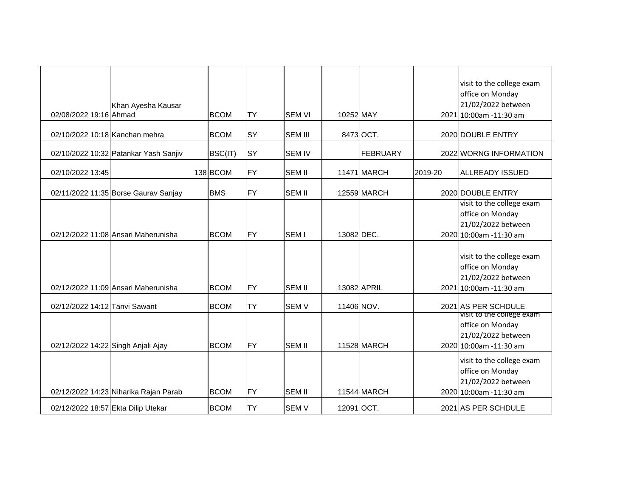| 02/08/2022 19:16 Ahmad             | Khan Ayesha Kausar                    | <b>BCOM</b> | <b>TY</b>  | <b>SEM VI</b>    | 10252 MAY  |                 |         | visit to the college exam<br>office on Monday<br>21/02/2022 between<br>2021 10:00am -11:30 am |
|------------------------------------|---------------------------------------|-------------|------------|------------------|------------|-----------------|---------|-----------------------------------------------------------------------------------------------|
| 02/10/2022 10:18 Kanchan mehra     |                                       | <b>BCOM</b> | <b>SY</b>  | <b>SEM III</b>   |            | 8473 OCT.       |         | 2020 DOUBLE ENTRY                                                                             |
|                                    | 02/10/2022 10:32 Patankar Yash Sanjiv | BSC(IT)     | <b>SY</b>  | <b>SEM IV</b>    |            | <b>FEBRUARY</b> |         | 2022 WORNG INFORMATION                                                                        |
| 02/10/2022 13:45                   |                                       | 138 BCOM    | <b>FY</b>  | <b>SEM II</b>    |            | 11471 MARCH     | 2019-20 | <b>ALLREADY ISSUED</b>                                                                        |
|                                    | 02/11/2022 11:35 Borse Gaurav Sanjay  | <b>BMS</b>  | <b>IFY</b> | <b>SEM II</b>    |            | 12559 MARCH     |         | 2020 DOUBLE ENTRY                                                                             |
|                                    | 02/12/2022 11:08 Ansari Maherunisha   | <b>BCOM</b> | <b>FY</b>  | SEM <sub>I</sub> | 13082 DEC. |                 |         | visit to the college exam<br>office on Monday<br>21/02/2022 between<br>2020 10:00am -11:30 am |
|                                    | 02/12/2022 11:09 Ansari Maherunisha   | <b>BCOM</b> | <b>FY</b>  | <b>SEM II</b>    |            | 13082 APRIL     |         | visit to the college exam<br>office on Monday<br>21/02/2022 between<br>2021 10:00am -11:30 am |
| 02/12/2022 14:12 Tanvi Sawant      |                                       | <b>BCOM</b> | <b>TY</b>  | <b>SEMV</b>      | 11406 NOV. |                 |         | 2021 AS PER SCHDULE                                                                           |
| 02/12/2022 14:22 Singh Anjali Ajay |                                       | <b>BCOM</b> | <b>FY</b>  | <b>SEM II</b>    |            | 11528 MARCH     |         | visit to the college exam<br>office on Monday<br>21/02/2022 between<br>2020 10:00am -11:30 am |
|                                    | 02/12/2022 14:23 Niharika Rajan Parab | <b>BCOM</b> | <b>FY</b>  | <b>SEM II</b>    |            | 11544 MARCH     |         | visit to the college exam<br>office on Monday<br>21/02/2022 between<br>2020 10:00am -11:30 am |
| 02/12/2022 18:57 Ekta Dilip Utekar |                                       | <b>BCOM</b> | TY         | <b>SEMV</b>      | 12091 OCT. |                 |         | 2021 AS PER SCHDULE                                                                           |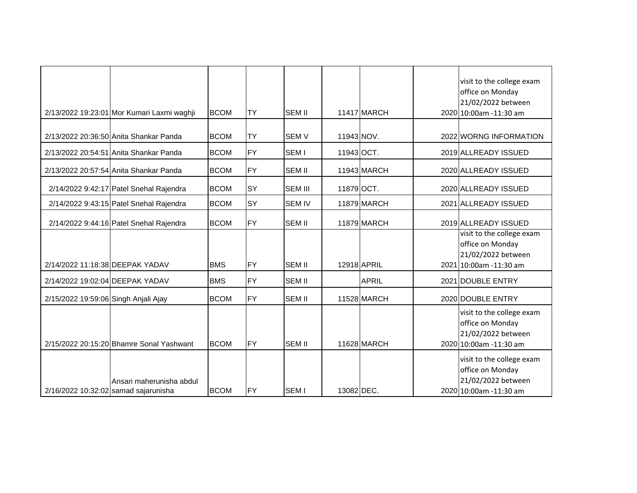|                                      | 2/13/2022 19:23:01 Mor Kumari Laxmi waghji | <b>BCOM</b> | <b>TY</b> | <b>SEM II</b>    |            | 11417 MARCH  | visit to the college exam<br>office on Monday<br>21/02/2022 between<br>2020 10:00am -11:30 am |
|--------------------------------------|--------------------------------------------|-------------|-----------|------------------|------------|--------------|-----------------------------------------------------------------------------------------------|
|                                      | 2/13/2022 20:36:50 Anita Shankar Panda     | <b>BCOM</b> | <b>TY</b> | <b>SEMV</b>      | 11943 NOV. |              | 2022 WORNG INFORMATION                                                                        |
|                                      | 2/13/2022 20:54:51 Anita Shankar Panda     | <b>BCOM</b> | <b>FY</b> | SEM <sub>I</sub> | 11943 OCT. |              | 2019 ALLREADY ISSUED                                                                          |
|                                      | 2/13/2022 20:57:54 Anita Shankar Panda     | <b>BCOM</b> | <b>FY</b> | <b>SEM II</b>    |            | 11943 MARCH  | 2020 ALLREADY ISSUED                                                                          |
|                                      | 2/14/2022 9:42:17 Patel Snehal Rajendra    | <b>BCOM</b> | <b>SY</b> | <b>SEM III</b>   | 11879 OCT. |              | 2020 ALLREADY ISSUED                                                                          |
|                                      | 2/14/2022 9:43:15 Patel Snehal Rajendra    | <b>BCOM</b> | <b>SY</b> | <b>SEM IV</b>    |            | 11879 MARCH  | 2021 ALLREADY ISSUED                                                                          |
|                                      | 2/14/2022 9:44:16 Patel Snehal Rajendra    | <b>BCOM</b> | <b>FY</b> | <b>SEM II</b>    |            | 11879 MARCH  | 2019 ALLREADY ISSUED                                                                          |
| 2/14/2022 11:18:38 DEEPAK YADAV      |                                            | <b>BMS</b>  | FY        | <b>SEM II</b>    |            | 12918 APRIL  | visit to the college exam<br>office on Monday<br>21/02/2022 between<br>2021 10:00am -11:30 am |
| 2/14/2022 19:02:04 DEEPAK YADAV      |                                            | <b>BMS</b>  | <b>FY</b> | <b>SEM II</b>    |            | <b>APRIL</b> | 2021 DOUBLE ENTRY                                                                             |
| 2/15/2022 19:59:06 Singh Anjali Ajay |                                            | <b>BCOM</b> | <b>FY</b> | <b>SEM II</b>    |            | 11528 MARCH  | 2020 DOUBLE ENTRY                                                                             |
|                                      | 2/15/2022 20:15:20 Bhamre Sonal Yashwant   | <b>BCOM</b> | <b>FY</b> | <b>SEM II</b>    |            | 11628 MARCH  | visit to the college exam<br>office on Monday<br>21/02/2022 between<br>2020 10:00am -11:30 am |
| 2/16/2022 10:32:02 samad sajarunisha | Ansari maherunisha abdul                   | <b>BCOM</b> | <b>FY</b> | <b>SEMI</b>      | 13082 DEC. |              | visit to the college exam<br>office on Monday<br>21/02/2022 between<br>2020 10:00am -11:30 am |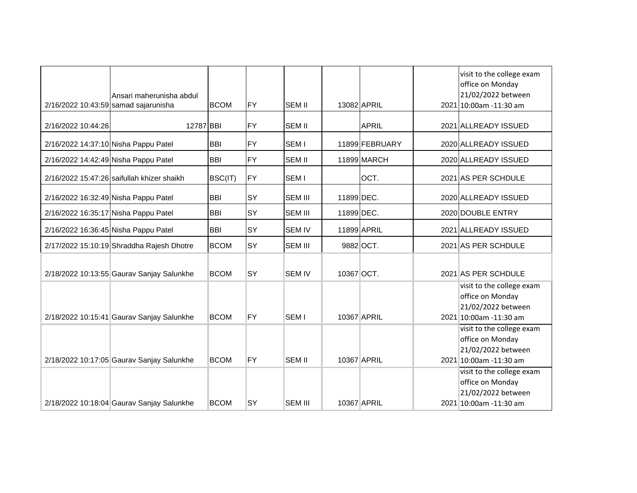| 2/16/2022 10:43:59 samad sajarunisha | Ansari maherunisha abdul                   | <b>BCOM</b> | <b>FY</b> | <b>SEM II</b>    |            | 13082 APRIL    | visit to the college exam<br>office on Monday<br>21/02/2022 between<br>2021 10:00am -11:30 am |
|--------------------------------------|--------------------------------------------|-------------|-----------|------------------|------------|----------------|-----------------------------------------------------------------------------------------------|
| 2/16/2022 10:44:26                   | 12787 BBI                                  |             | <b>FY</b> | <b>SEM II</b>    |            | <b>APRIL</b>   | 2021 ALLREADY ISSUED                                                                          |
| 2/16/2022 14:37:10 Nisha Pappu Patel |                                            | <b>BBI</b>  | <b>FY</b> | SEM <sub>I</sub> |            | 11899 FEBRUARY | 2020 ALLREADY ISSUED                                                                          |
| 2/16/2022 14:42:49 Nisha Pappu Patel |                                            | <b>BBI</b>  | FY        | <b>SEM II</b>    |            | 11899 MARCH    | 2020 ALLREADY ISSUED                                                                          |
|                                      | 2/16/2022 15:47:26 saifullah khizer shaikh | BSC(IT)     | FY        | SEM <sub>I</sub> |            | OCT.           | 2021 AS PER SCHDULE                                                                           |
| 2/16/2022 16:32:49 Nisha Pappu Patel |                                            | <b>BBI</b>  | <b>SY</b> | <b>SEM III</b>   | 11899 DEC. |                | 2020 ALLREADY ISSUED                                                                          |
| 2/16/2022 16:35:17 Nisha Pappu Patel |                                            | <b>BBI</b>  | <b>SY</b> | <b>SEM III</b>   | 11899 DEC. |                | 2020 DOUBLE ENTRY                                                                             |
| 2/16/2022 16:36:45 Nisha Pappu Patel |                                            | <b>BBI</b>  | SY        | <b>SEM IV</b>    |            | 11899 APRIL    | 2021 ALLREADY ISSUED                                                                          |
|                                      | 2/17/2022 15:10:19 Shraddha Rajesh Dhotre  | <b>BCOM</b> | <b>SY</b> | <b>SEM III</b>   |            | 9882 OCT.      | 2021 AS PER SCHDULE                                                                           |
|                                      | 2/18/2022 10:13:55 Gaurav Sanjay Salunkhe  | <b>BCOM</b> | <b>SY</b> | <b>SEM IV</b>    | 10367 OCT. |                | 2021 AS PER SCHDULE                                                                           |
|                                      | 2/18/2022 10:15:41 Gaurav Sanjay Salunkhe  | <b>BCOM</b> | <b>FY</b> | SEM <sub>I</sub> |            | 10367 APRIL    | visit to the college exam<br>office on Monday<br>21/02/2022 between<br>2021 10:00am -11:30 am |
|                                      | 2/18/2022 10:17:05 Gaurav Sanjay Salunkhe  | <b>BCOM</b> | <b>FY</b> | <b>SEM II</b>    |            | 10367 APRIL    | visit to the college exam<br>office on Monday<br>21/02/2022 between<br>2021 10:00am -11:30 am |
|                                      | 2/18/2022 10:18:04 Gaurav Sanjay Salunkhe  | <b>BCOM</b> | SY        | <b>SEM III</b>   |            | 10367 APRIL    | visit to the college exam<br>office on Monday<br>21/02/2022 between<br>2021 10:00am -11:30 am |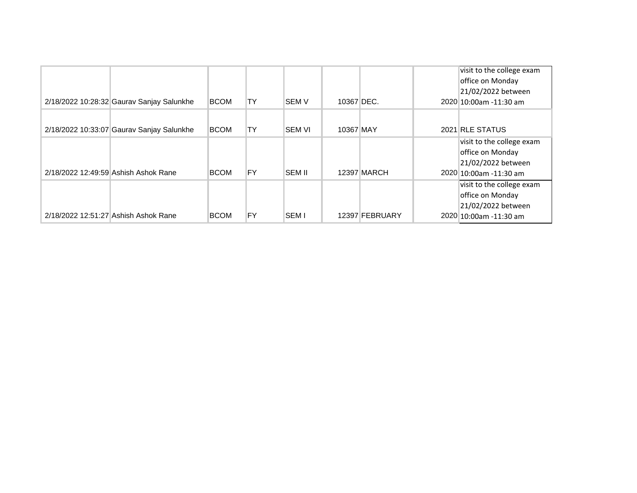| 2/18/2022 10:28:32 Gaurav Sanjay Salunkhe | <b>BCOM</b> | TY        | <b>SEM V</b>  | 10367 DEC. |                    | visit to the college exam<br>office on Monday<br>21/02/2022 between<br>2020 10:00am - 11:30 am |
|-------------------------------------------|-------------|-----------|---------------|------------|--------------------|------------------------------------------------------------------------------------------------|
| 2/18/2022 10:33:07 Gaurav Sanjay Salunkhe | <b>BCOM</b> | <b>TY</b> | <b>SEM VI</b> | 10367 MAY  |                    | 2021 RLE STATUS                                                                                |
| 2/18/2022 12:49:59 Ashish Ashok Rane      | <b>BCOM</b> | FY        | <b>SEM II</b> |            | <b>12397 MARCH</b> | visit to the college exam<br>office on Monday<br>21/02/2022 between<br>2020 10:00am - 11:30 am |
| 2/18/2022 12:51:27 Ashish Ashok Rane      | <b>BCOM</b> | FY        | <b>SEM I</b>  |            | 12397 FEBRUARY     | visit to the college exam<br>office on Monday<br>21/02/2022 between<br>2020 10:00am - 11:30 am |